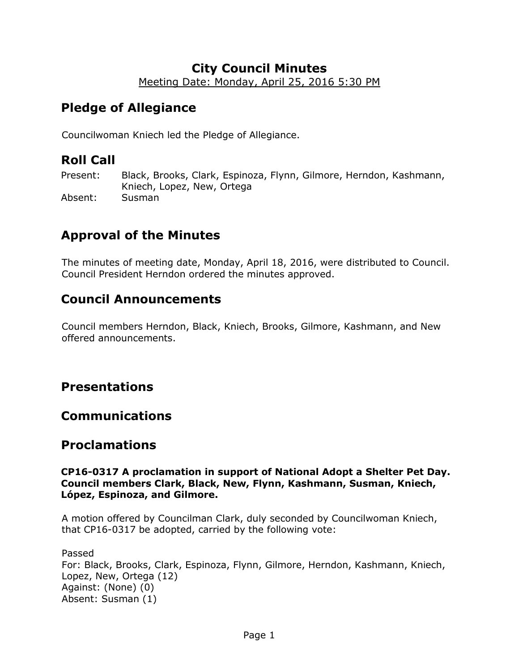## **City Council Minutes**

Meeting Date: Monday, April 25, 2016 5:30 PM

# **Pledge of Allegiance**

Councilwoman Kniech led the Pledge of Allegiance.

# **Roll Call**

Present: Black, Brooks, Clark, Espinoza, Flynn, Gilmore, Herndon, Kashmann, Kniech, Lopez, New, Ortega Absent: Susman

# **Approval of the Minutes**

The minutes of meeting date, Monday, April 18, 2016, were distributed to Council. Council President Herndon ordered the minutes approved.

## **Council Announcements**

Council members Herndon, Black, Kniech, Brooks, Gilmore, Kashmann, and New offered announcements.

## **Presentations**

## **Communications**

## **Proclamations**

### **CP16-0317 A proclamation in support of National Adopt a Shelter Pet Day. Council members Clark, Black, New, Flynn, Kashmann, Susman, Kniech, López, Espinoza, and Gilmore.**

A motion offered by Councilman Clark, duly seconded by Councilwoman Kniech, that CP16-0317 be adopted, carried by the following vote:

### Passed For: Black, Brooks, Clark, Espinoza, Flynn, Gilmore, Herndon, Kashmann, Kniech, Lopez, New, Ortega (12) Against: (None) (0) Absent: Susman (1)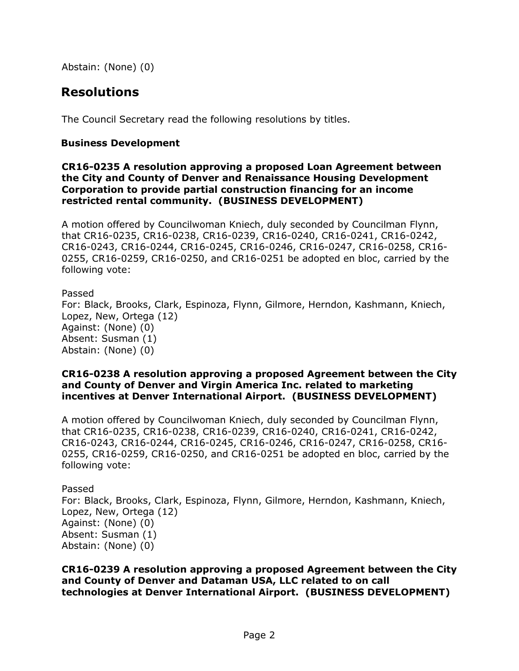Abstain: (None) (0)

## **Resolutions**

The Council Secretary read the following resolutions by titles.

## **Business Development**

### **CR16-0235 A resolution approving a proposed Loan Agreement between the City and County of Denver and Renaissance Housing Development Corporation to provide partial construction financing for an income restricted rental community. (BUSINESS DEVELOPMENT)**

A motion offered by Councilwoman Kniech, duly seconded by Councilman Flynn, that CR16-0235, CR16-0238, CR16-0239, CR16-0240, CR16-0241, CR16-0242, CR16-0243, CR16-0244, CR16-0245, CR16-0246, CR16-0247, CR16-0258, CR16- 0255, CR16-0259, CR16-0250, and CR16-0251 be adopted en bloc, carried by the following vote:

## Passed

For: Black, Brooks, Clark, Espinoza, Flynn, Gilmore, Herndon, Kashmann, Kniech, Lopez, New, Ortega (12) Against: (None) (0) Absent: Susman (1) Abstain: (None) (0)

#### **CR16-0238 A resolution approving a proposed Agreement between the City and County of Denver and Virgin America Inc. related to marketing incentives at Denver International Airport. (BUSINESS DEVELOPMENT)**

A motion offered by Councilwoman Kniech, duly seconded by Councilman Flynn, that CR16-0235, CR16-0238, CR16-0239, CR16-0240, CR16-0241, CR16-0242, CR16-0243, CR16-0244, CR16-0245, CR16-0246, CR16-0247, CR16-0258, CR16- 0255, CR16-0259, CR16-0250, and CR16-0251 be adopted en bloc, carried by the following vote:

### Passed For: Black, Brooks, Clark, Espinoza, Flynn, Gilmore, Herndon, Kashmann, Kniech, Lopez, New, Ortega (12) Against: (None) (0) Absent: Susman (1) Abstain: (None) (0)

**CR16-0239 A resolution approving a proposed Agreement between the City and County of Denver and Dataman USA, LLC related to on call technologies at Denver International Airport. (BUSINESS DEVELOPMENT)**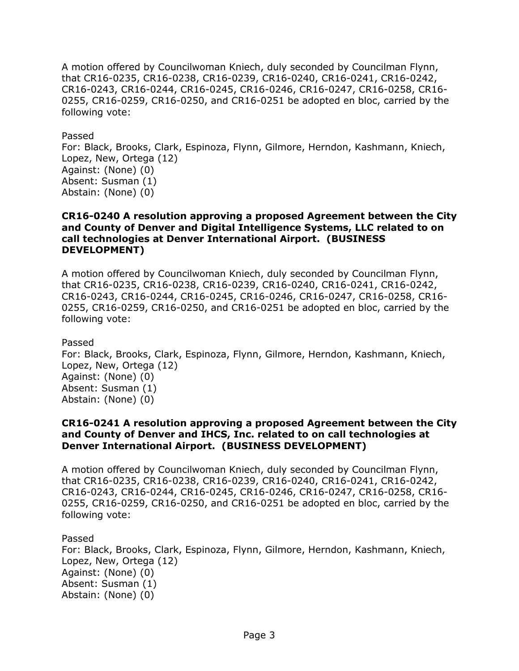A motion offered by Councilwoman Kniech, duly seconded by Councilman Flynn, that CR16-0235, CR16-0238, CR16-0239, CR16-0240, CR16-0241, CR16-0242, CR16-0243, CR16-0244, CR16-0245, CR16-0246, CR16-0247, CR16-0258, CR16- 0255, CR16-0259, CR16-0250, and CR16-0251 be adopted en bloc, carried by the following vote:

Passed

For: Black, Brooks, Clark, Espinoza, Flynn, Gilmore, Herndon, Kashmann, Kniech, Lopez, New, Ortega (12) Against: (None) (0) Absent: Susman (1) Abstain: (None) (0)

#### **CR16-0240 A resolution approving a proposed Agreement between the City and County of Denver and Digital Intelligence Systems, LLC related to on call technologies at Denver International Airport. (BUSINESS DEVELOPMENT)**

A motion offered by Councilwoman Kniech, duly seconded by Councilman Flynn, that CR16-0235, CR16-0238, CR16-0239, CR16-0240, CR16-0241, CR16-0242, CR16-0243, CR16-0244, CR16-0245, CR16-0246, CR16-0247, CR16-0258, CR16- 0255, CR16-0259, CR16-0250, and CR16-0251 be adopted en bloc, carried by the following vote:

Passed

For: Black, Brooks, Clark, Espinoza, Flynn, Gilmore, Herndon, Kashmann, Kniech, Lopez, New, Ortega (12) Against: (None) (0) Absent: Susman (1) Abstain: (None) (0)

### **CR16-0241 A resolution approving a proposed Agreement between the City and County of Denver and IHCS, Inc. related to on call technologies at Denver International Airport. (BUSINESS DEVELOPMENT)**

A motion offered by Councilwoman Kniech, duly seconded by Councilman Flynn, that CR16-0235, CR16-0238, CR16-0239, CR16-0240, CR16-0241, CR16-0242, CR16-0243, CR16-0244, CR16-0245, CR16-0246, CR16-0247, CR16-0258, CR16- 0255, CR16-0259, CR16-0250, and CR16-0251 be adopted en bloc, carried by the following vote:

Passed

For: Black, Brooks, Clark, Espinoza, Flynn, Gilmore, Herndon, Kashmann, Kniech, Lopez, New, Ortega (12) Against: (None) (0) Absent: Susman (1) Abstain: (None) (0)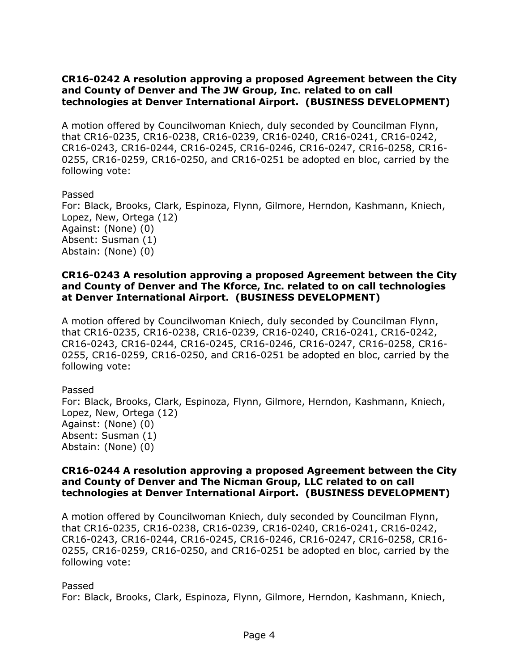## **CR16-0242 A resolution approving a proposed Agreement between the City and County of Denver and The JW Group, Inc. related to on call technologies at Denver International Airport. (BUSINESS DEVELOPMENT)**

A motion offered by Councilwoman Kniech, duly seconded by Councilman Flynn, that CR16-0235, CR16-0238, CR16-0239, CR16-0240, CR16-0241, CR16-0242, CR16-0243, CR16-0244, CR16-0245, CR16-0246, CR16-0247, CR16-0258, CR16- 0255, CR16-0259, CR16-0250, and CR16-0251 be adopted en bloc, carried by the following vote:

### Passed

For: Black, Brooks, Clark, Espinoza, Flynn, Gilmore, Herndon, Kashmann, Kniech, Lopez, New, Ortega (12) Against: (None) (0) Absent: Susman (1) Abstain: (None) (0)

### **CR16-0243 A resolution approving a proposed Agreement between the City and County of Denver and The Kforce, Inc. related to on call technologies at Denver International Airport. (BUSINESS DEVELOPMENT)**

A motion offered by Councilwoman Kniech, duly seconded by Councilman Flynn, that CR16-0235, CR16-0238, CR16-0239, CR16-0240, CR16-0241, CR16-0242, CR16-0243, CR16-0244, CR16-0245, CR16-0246, CR16-0247, CR16-0258, CR16- 0255, CR16-0259, CR16-0250, and CR16-0251 be adopted en bloc, carried by the following vote:

Passed For: Black, Brooks, Clark, Espinoza, Flynn, Gilmore, Herndon, Kashmann, Kniech, Lopez, New, Ortega (12) Against: (None) (0) Absent: Susman (1) Abstain: (None) (0)

#### **CR16-0244 A resolution approving a proposed Agreement between the City and County of Denver and The Nicman Group, LLC related to on call technologies at Denver International Airport. (BUSINESS DEVELOPMENT)**

A motion offered by Councilwoman Kniech, duly seconded by Councilman Flynn, that CR16-0235, CR16-0238, CR16-0239, CR16-0240, CR16-0241, CR16-0242, CR16-0243, CR16-0244, CR16-0245, CR16-0246, CR16-0247, CR16-0258, CR16- 0255, CR16-0259, CR16-0250, and CR16-0251 be adopted en bloc, carried by the following vote:

#### Passed

For: Black, Brooks, Clark, Espinoza, Flynn, Gilmore, Herndon, Kashmann, Kniech,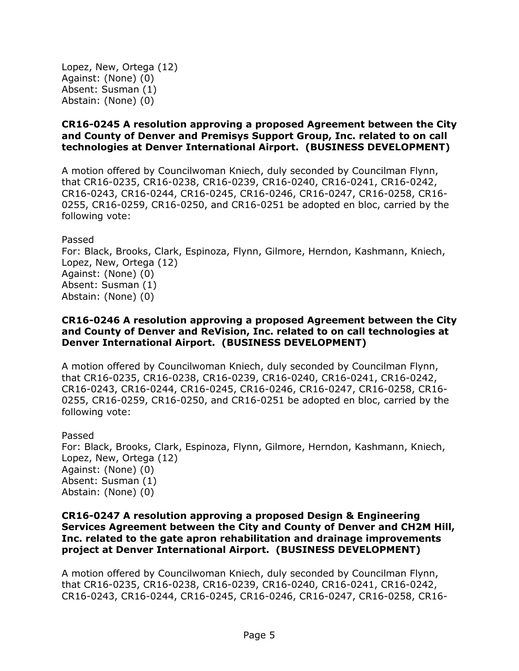Lopez, New, Ortega (12) Against: (None) (0) Absent: Susman (1) Abstain: (None) (0)

## **CR16-0245 A resolution approving a proposed Agreement between the City and County of Denver and Premisys Support Group, Inc. related to on call technologies at Denver International Airport. (BUSINESS DEVELOPMENT)**

A motion offered by Councilwoman Kniech, duly seconded by Councilman Flynn, that CR16-0235, CR16-0238, CR16-0239, CR16-0240, CR16-0241, CR16-0242, CR16-0243, CR16-0244, CR16-0245, CR16-0246, CR16-0247, CR16-0258, CR16- 0255, CR16-0259, CR16-0250, and CR16-0251 be adopted en bloc, carried by the following vote:

Passed For: Black, Brooks, Clark, Espinoza, Flynn, Gilmore, Herndon, Kashmann, Kniech, Lopez, New, Ortega (12) Against: (None) (0) Absent: Susman (1) Abstain: (None) (0)

### **CR16-0246 A resolution approving a proposed Agreement between the City and County of Denver and ReVision, Inc. related to on call technologies at Denver International Airport. (BUSINESS DEVELOPMENT)**

A motion offered by Councilwoman Kniech, duly seconded by Councilman Flynn, that CR16-0235, CR16-0238, CR16-0239, CR16-0240, CR16-0241, CR16-0242, CR16-0243, CR16-0244, CR16-0245, CR16-0246, CR16-0247, CR16-0258, CR16- 0255, CR16-0259, CR16-0250, and CR16-0251 be adopted en bloc, carried by the following vote:

Passed For: Black, Brooks, Clark, Espinoza, Flynn, Gilmore, Herndon, Kashmann, Kniech, Lopez, New, Ortega (12) Against: (None) (0) Absent: Susman (1) Abstain: (None) (0)

### **CR16-0247 A resolution approving a proposed Design & Engineering Services Agreement between the City and County of Denver and CH2M Hill, Inc. related to the gate apron rehabilitation and drainage improvements project at Denver International Airport. (BUSINESS DEVELOPMENT)**

A motion offered by Councilwoman Kniech, duly seconded by Councilman Flynn, that CR16-0235, CR16-0238, CR16-0239, CR16-0240, CR16-0241, CR16-0242, CR16-0243, CR16-0244, CR16-0245, CR16-0246, CR16-0247, CR16-0258, CR16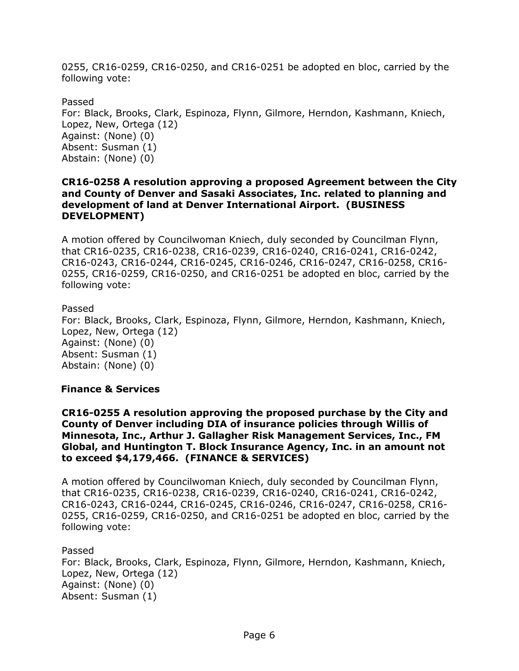0255, CR16-0259, CR16-0250, and CR16-0251 be adopted en bloc, carried by the following vote:

Passed For: Black, Brooks, Clark, Espinoza, Flynn, Gilmore, Herndon, Kashmann, Kniech, Lopez, New, Ortega (12) Against: (None) (0) Absent: Susman (1) Abstain: (None) (0)

#### **CR16-0258 A resolution approving a proposed Agreement between the City and County of Denver and Sasaki Associates, Inc. related to planning and development of land at Denver International Airport. (BUSINESS DEVELOPMENT)**

A motion offered by Councilwoman Kniech, duly seconded by Councilman Flynn, that CR16-0235, CR16-0238, CR16-0239, CR16-0240, CR16-0241, CR16-0242, CR16-0243, CR16-0244, CR16-0245, CR16-0246, CR16-0247, CR16-0258, CR16- 0255, CR16-0259, CR16-0250, and CR16-0251 be adopted en bloc, carried by the following vote:

### Passed

For: Black, Brooks, Clark, Espinoza, Flynn, Gilmore, Herndon, Kashmann, Kniech, Lopez, New, Ortega (12) Against: (None) (0) Absent: Susman (1) Abstain: (None) (0)

## **Finance & Services**

**CR16-0255 A resolution approving the proposed purchase by the City and County of Denver including DIA of insurance policies through Willis of Minnesota, Inc., Arthur J. Gallagher Risk Management Services, Inc., FM Global, and Huntington T. Block Insurance Agency, Inc. in an amount not to exceed \$4,179,466. (FINANCE & SERVICES)**

A motion offered by Councilwoman Kniech, duly seconded by Councilman Flynn, that CR16-0235, CR16-0238, CR16-0239, CR16-0240, CR16-0241, CR16-0242, CR16-0243, CR16-0244, CR16-0245, CR16-0246, CR16-0247, CR16-0258, CR16- 0255, CR16-0259, CR16-0250, and CR16-0251 be adopted en bloc, carried by the following vote:

Passed For: Black, Brooks, Clark, Espinoza, Flynn, Gilmore, Herndon, Kashmann, Kniech, Lopez, New, Ortega (12) Against: (None) (0) Absent: Susman (1)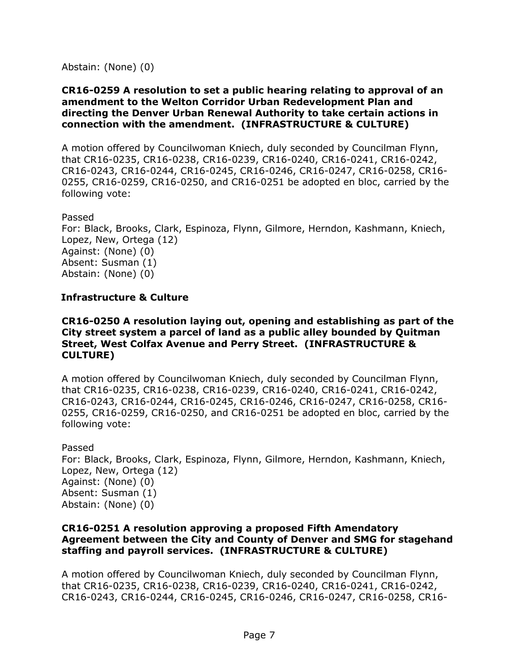Abstain: (None) (0)

#### **CR16-0259 A resolution to set a public hearing relating to approval of an amendment to the Welton Corridor Urban Redevelopment Plan and directing the Denver Urban Renewal Authority to take certain actions in connection with the amendment. (INFRASTRUCTURE & CULTURE)**

A motion offered by Councilwoman Kniech, duly seconded by Councilman Flynn, that CR16-0235, CR16-0238, CR16-0239, CR16-0240, CR16-0241, CR16-0242, CR16-0243, CR16-0244, CR16-0245, CR16-0246, CR16-0247, CR16-0258, CR16- 0255, CR16-0259, CR16-0250, and CR16-0251 be adopted en bloc, carried by the following vote:

#### Passed

For: Black, Brooks, Clark, Espinoza, Flynn, Gilmore, Herndon, Kashmann, Kniech, Lopez, New, Ortega (12) Against: (None) (0) Absent: Susman (1) Abstain: (None) (0)

## **Infrastructure & Culture**

#### **CR16-0250 A resolution laying out, opening and establishing as part of the City street system a parcel of land as a public alley bounded by Quitman Street, West Colfax Avenue and Perry Street. (INFRASTRUCTURE & CULTURE)**

A motion offered by Councilwoman Kniech, duly seconded by Councilman Flynn, that CR16-0235, CR16-0238, CR16-0239, CR16-0240, CR16-0241, CR16-0242, CR16-0243, CR16-0244, CR16-0245, CR16-0246, CR16-0247, CR16-0258, CR16- 0255, CR16-0259, CR16-0250, and CR16-0251 be adopted en bloc, carried by the following vote:

Passed For: Black, Brooks, Clark, Espinoza, Flynn, Gilmore, Herndon, Kashmann, Kniech, Lopez, New, Ortega (12) Against: (None) (0) Absent: Susman (1) Abstain: (None) (0)

### **CR16-0251 A resolution approving a proposed Fifth Amendatory Agreement between the City and County of Denver and SMG for stagehand staffing and payroll services. (INFRASTRUCTURE & CULTURE)**

A motion offered by Councilwoman Kniech, duly seconded by Councilman Flynn, that CR16-0235, CR16-0238, CR16-0239, CR16-0240, CR16-0241, CR16-0242, CR16-0243, CR16-0244, CR16-0245, CR16-0246, CR16-0247, CR16-0258, CR16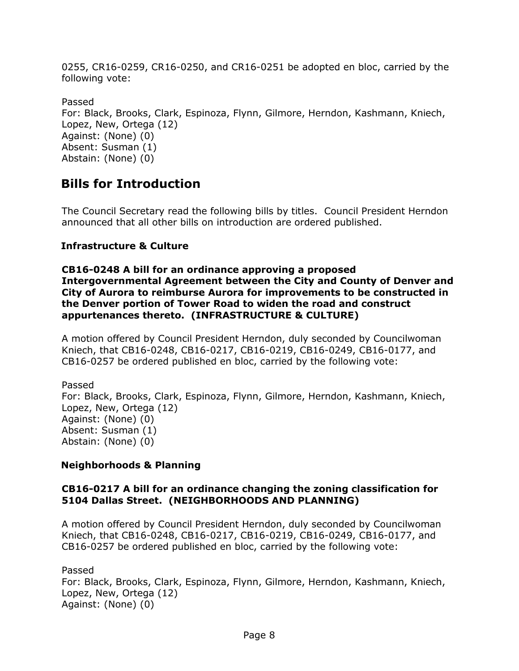0255, CR16-0259, CR16-0250, and CR16-0251 be adopted en bloc, carried by the following vote:

Passed For: Black, Brooks, Clark, Espinoza, Flynn, Gilmore, Herndon, Kashmann, Kniech, Lopez, New, Ortega (12) Against: (None) (0) Absent: Susman (1) Abstain: (None) (0)

## **Bills for Introduction**

The Council Secretary read the following bills by titles. Council President Herndon announced that all other bills on introduction are ordered published.

## **Infrastructure & Culture**

**CB16-0248 A bill for an ordinance approving a proposed Intergovernmental Agreement between the City and County of Denver and City of Aurora to reimburse Aurora for improvements to be constructed in the Denver portion of Tower Road to widen the road and construct appurtenances thereto. (INFRASTRUCTURE & CULTURE)**

A motion offered by Council President Herndon, duly seconded by Councilwoman Kniech, that CB16-0248, CB16-0217, CB16-0219, CB16-0249, CB16-0177, and CB16-0257 be ordered published en bloc, carried by the following vote:

Passed For: Black, Brooks, Clark, Espinoza, Flynn, Gilmore, Herndon, Kashmann, Kniech, Lopez, New, Ortega (12) Against: (None) (0) Absent: Susman (1) Abstain: (None) (0)

## **Neighborhoods & Planning**

## **CB16-0217 A bill for an ordinance changing the zoning classification for 5104 Dallas Street. (NEIGHBORHOODS AND PLANNING)**

A motion offered by Council President Herndon, duly seconded by Councilwoman Kniech, that CB16-0248, CB16-0217, CB16-0219, CB16-0249, CB16-0177, and CB16-0257 be ordered published en bloc, carried by the following vote:

Passed For: Black, Brooks, Clark, Espinoza, Flynn, Gilmore, Herndon, Kashmann, Kniech, Lopez, New, Ortega (12) Against: (None) (0)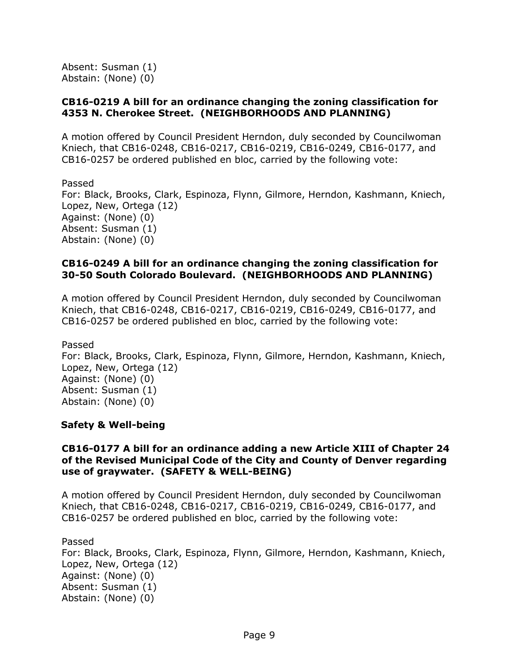Absent: Susman (1) Abstain: (None) (0)

### **CB16-0219 A bill for an ordinance changing the zoning classification for 4353 N. Cherokee Street. (NEIGHBORHOODS AND PLANNING)**

A motion offered by Council President Herndon, duly seconded by Councilwoman Kniech, that CB16-0248, CB16-0217, CB16-0219, CB16-0249, CB16-0177, and CB16-0257 be ordered published en bloc, carried by the following vote:

Passed For: Black, Brooks, Clark, Espinoza, Flynn, Gilmore, Herndon, Kashmann, Kniech, Lopez, New, Ortega (12) Against: (None) (0) Absent: Susman (1) Abstain: (None) (0)

### **CB16-0249 A bill for an ordinance changing the zoning classification for 30-50 South Colorado Boulevard. (NEIGHBORHOODS AND PLANNING)**

A motion offered by Council President Herndon, duly seconded by Councilwoman Kniech, that CB16-0248, CB16-0217, CB16-0219, CB16-0249, CB16-0177, and CB16-0257 be ordered published en bloc, carried by the following vote:

Passed

For: Black, Brooks, Clark, Espinoza, Flynn, Gilmore, Herndon, Kashmann, Kniech, Lopez, New, Ortega (12) Against: (None) (0) Absent: Susman (1) Abstain: (None) (0)

## **Safety & Well-being**

#### **CB16-0177 A bill for an ordinance adding a new Article XIII of Chapter 24 of the Revised Municipal Code of the City and County of Denver regarding use of graywater. (SAFETY & WELL-BEING)**

A motion offered by Council President Herndon, duly seconded by Councilwoman Kniech, that CB16-0248, CB16-0217, CB16-0219, CB16-0249, CB16-0177, and CB16-0257 be ordered published en bloc, carried by the following vote:

Passed

For: Black, Brooks, Clark, Espinoza, Flynn, Gilmore, Herndon, Kashmann, Kniech, Lopez, New, Ortega (12) Against: (None) (0) Absent: Susman (1) Abstain: (None) (0)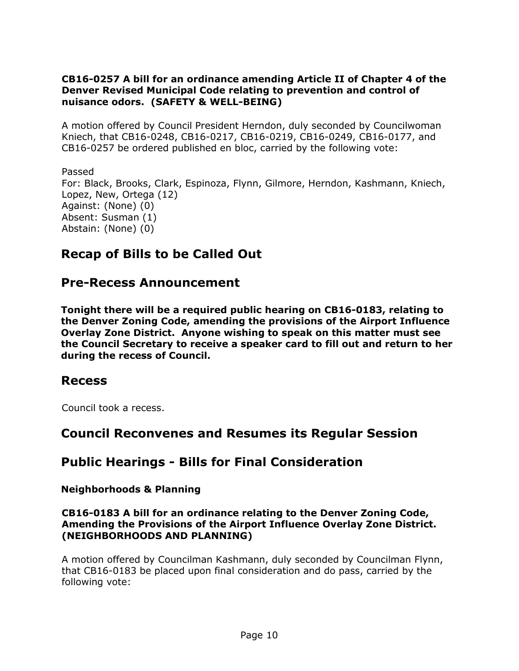## **CB16-0257 A bill for an ordinance amending Article II of Chapter 4 of the Denver Revised Municipal Code relating to prevention and control of nuisance odors. (SAFETY & WELL-BEING)**

A motion offered by Council President Herndon, duly seconded by Councilwoman Kniech, that CB16-0248, CB16-0217, CB16-0219, CB16-0249, CB16-0177, and CB16-0257 be ordered published en bloc, carried by the following vote:

Passed For: Black, Brooks, Clark, Espinoza, Flynn, Gilmore, Herndon, Kashmann, Kniech, Lopez, New, Ortega (12) Against: (None) (0) Absent: Susman (1) Abstain: (None) (0)

## **Recap of Bills to be Called Out**

## **Pre-Recess Announcement**

**Tonight there will be a required public hearing on CB16-0183, relating to the Denver Zoning Code, amending the provisions of the Airport Influence Overlay Zone District. Anyone wishing to speak on this matter must see the Council Secretary to receive a speaker card to fill out and return to her during the recess of Council.** 

## **Recess**

Council took a recess.

## **Council Reconvenes and Resumes its Regular Session**

# **Public Hearings - Bills for Final Consideration**

## **Neighborhoods & Planning**

## **CB16-0183 A bill for an ordinance relating to the Denver Zoning Code, Amending the Provisions of the Airport Influence Overlay Zone District. (NEIGHBORHOODS AND PLANNING)**

A motion offered by Councilman Kashmann, duly seconded by Councilman Flynn, that CB16-0183 be placed upon final consideration and do pass, carried by the following vote: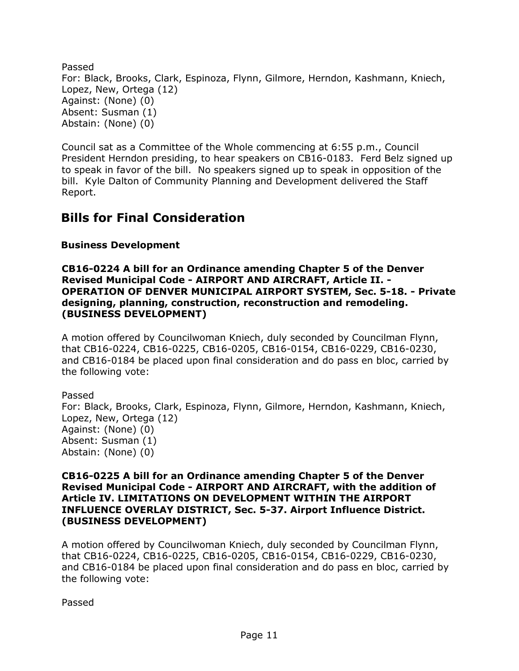Passed For: Black, Brooks, Clark, Espinoza, Flynn, Gilmore, Herndon, Kashmann, Kniech, Lopez, New, Ortega (12) Against: (None) (0) Absent: Susman (1) Abstain: (None) (0)

Council sat as a Committee of the Whole commencing at 6:55 p.m., Council President Herndon presiding, to hear speakers on CB16-0183. Ferd Belz signed up to speak in favor of the bill. No speakers signed up to speak in opposition of the bill. Kyle Dalton of Community Planning and Development delivered the Staff Report.

## **Bills for Final Consideration**

## **Business Development**

**CB16-0224 A bill for an Ordinance amending Chapter 5 of the Denver Revised Municipal Code - AIRPORT AND AIRCRAFT, Article II. - OPERATION OF DENVER MUNICIPAL AIRPORT SYSTEM, Sec. 5-18. - Private designing, planning, construction, reconstruction and remodeling. (BUSINESS DEVELOPMENT)**

A motion offered by Councilwoman Kniech, duly seconded by Councilman Flynn, that CB16-0224, CB16-0225, CB16-0205, CB16-0154, CB16-0229, CB16-0230, and CB16-0184 be placed upon final consideration and do pass en bloc, carried by the following vote:

Passed For: Black, Brooks, Clark, Espinoza, Flynn, Gilmore, Herndon, Kashmann, Kniech, Lopez, New, Ortega (12) Against: (None) (0) Absent: Susman (1) Abstain: (None) (0)

### **CB16-0225 A bill for an Ordinance amending Chapter 5 of the Denver Revised Municipal Code - AIRPORT AND AIRCRAFT, with the addition of Article IV. LIMITATIONS ON DEVELOPMENT WITHIN THE AIRPORT INFLUENCE OVERLAY DISTRICT, Sec. 5-37. Airport Influence District. (BUSINESS DEVELOPMENT)**

A motion offered by Councilwoman Kniech, duly seconded by Councilman Flynn, that CB16-0224, CB16-0225, CB16-0205, CB16-0154, CB16-0229, CB16-0230, and CB16-0184 be placed upon final consideration and do pass en bloc, carried by the following vote:

Passed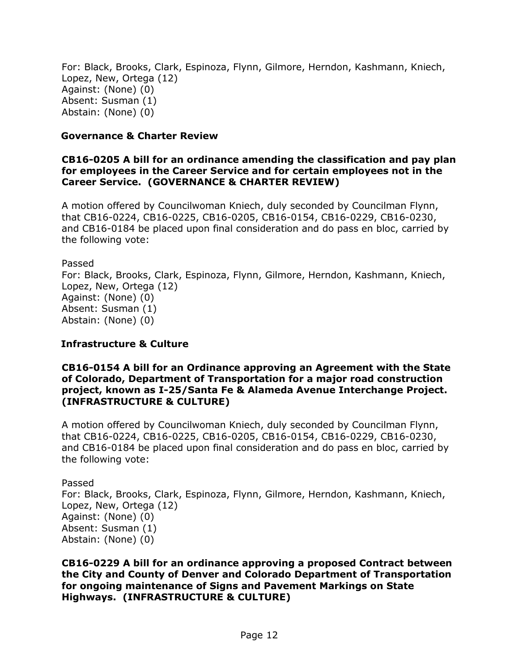For: Black, Brooks, Clark, Espinoza, Flynn, Gilmore, Herndon, Kashmann, Kniech, Lopez, New, Ortega (12) Against: (None) (0) Absent: Susman (1) Abstain: (None) (0)

#### **Governance & Charter Review**

### **CB16-0205 A bill for an ordinance amending the classification and pay plan for employees in the Career Service and for certain employees not in the Career Service. (GOVERNANCE & CHARTER REVIEW)**

A motion offered by Councilwoman Kniech, duly seconded by Councilman Flynn, that CB16-0224, CB16-0225, CB16-0205, CB16-0154, CB16-0229, CB16-0230, and CB16-0184 be placed upon final consideration and do pass en bloc, carried by the following vote:

Passed

For: Black, Brooks, Clark, Espinoza, Flynn, Gilmore, Herndon, Kashmann, Kniech, Lopez, New, Ortega (12) Against: (None) (0) Absent: Susman (1) Abstain: (None) (0)

## **Infrastructure & Culture**

#### **CB16-0154 A bill for an Ordinance approving an Agreement with the State of Colorado, Department of Transportation for a major road construction project, known as I-25/Santa Fe & Alameda Avenue Interchange Project. (INFRASTRUCTURE & CULTURE)**

A motion offered by Councilwoman Kniech, duly seconded by Councilman Flynn, that CB16-0224, CB16-0225, CB16-0205, CB16-0154, CB16-0229, CB16-0230, and CB16-0184 be placed upon final consideration and do pass en bloc, carried by the following vote:

Passed

For: Black, Brooks, Clark, Espinoza, Flynn, Gilmore, Herndon, Kashmann, Kniech, Lopez, New, Ortega (12) Against: (None) (0) Absent: Susman (1) Abstain: (None) (0)

**CB16-0229 A bill for an ordinance approving a proposed Contract between the City and County of Denver and Colorado Department of Transportation for ongoing maintenance of Signs and Pavement Markings on State Highways. (INFRASTRUCTURE & CULTURE)**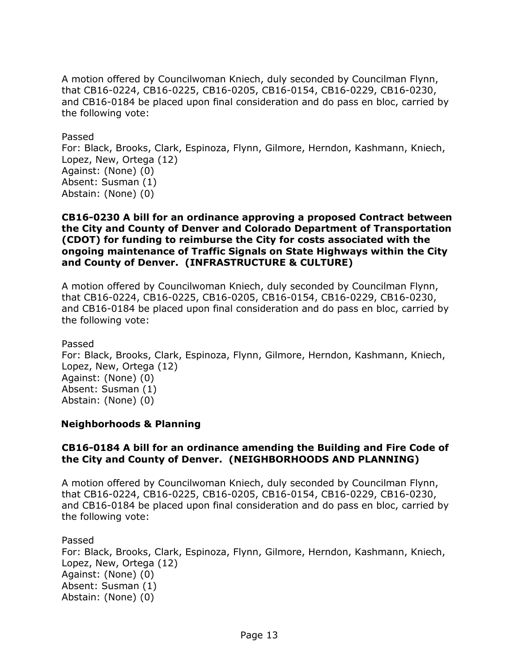A motion offered by Councilwoman Kniech, duly seconded by Councilman Flynn, that CB16-0224, CB16-0225, CB16-0205, CB16-0154, CB16-0229, CB16-0230, and CB16-0184 be placed upon final consideration and do pass en bloc, carried by the following vote:

#### Passed

For: Black, Brooks, Clark, Espinoza, Flynn, Gilmore, Herndon, Kashmann, Kniech, Lopez, New, Ortega (12) Against: (None) (0) Absent: Susman (1) Abstain: (None) (0)

#### **CB16-0230 A bill for an ordinance approving a proposed Contract between the City and County of Denver and Colorado Department of Transportation (CDOT) for funding to reimburse the City for costs associated with the ongoing maintenance of Traffic Signals on State Highways within the City and County of Denver. (INFRASTRUCTURE & CULTURE)**

A motion offered by Councilwoman Kniech, duly seconded by Councilman Flynn, that CB16-0224, CB16-0225, CB16-0205, CB16-0154, CB16-0229, CB16-0230, and CB16-0184 be placed upon final consideration and do pass en bloc, carried by the following vote:

#### Passed

For: Black, Brooks, Clark, Espinoza, Flynn, Gilmore, Herndon, Kashmann, Kniech, Lopez, New, Ortega (12) Against: (None) (0) Absent: Susman (1) Abstain: (None) (0)

## **Neighborhoods & Planning**

## **CB16-0184 A bill for an ordinance amending the Building and Fire Code of the City and County of Denver. (NEIGHBORHOODS AND PLANNING)**

A motion offered by Councilwoman Kniech, duly seconded by Councilman Flynn, that CB16-0224, CB16-0225, CB16-0205, CB16-0154, CB16-0229, CB16-0230, and CB16-0184 be placed upon final consideration and do pass en bloc, carried by the following vote:

#### Passed

For: Black, Brooks, Clark, Espinoza, Flynn, Gilmore, Herndon, Kashmann, Kniech, Lopez, New, Ortega (12) Against: (None) (0) Absent: Susman (1) Abstain: (None) (0)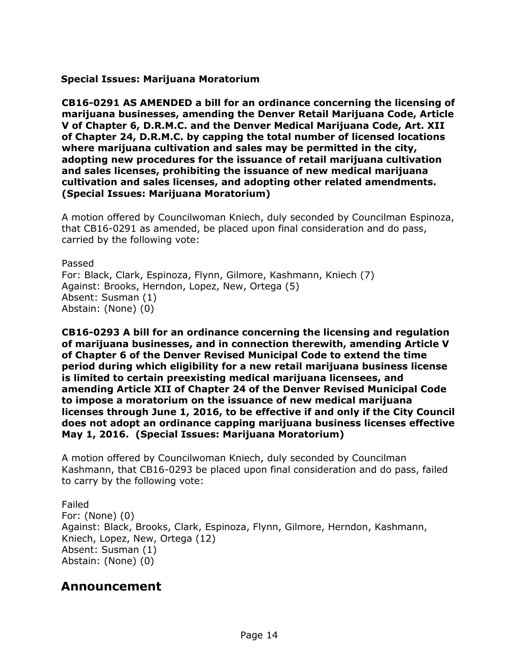**Special Issues: Marijuana Moratorium** 

**CB16-0291 AS AMENDED a bill for an ordinance concerning the licensing of marijuana businesses, amending the Denver Retail Marijuana Code, Article V of Chapter 6, D.R.M.C. and the Denver Medical Marijuana Code, Art. XII of Chapter 24, D.R.M.C. by capping the total number of licensed locations where marijuana cultivation and sales may be permitted in the city, adopting new procedures for the issuance of retail marijuana cultivation and sales licenses, prohibiting the issuance of new medical marijuana cultivation and sales licenses, and adopting other related amendments. (Special Issues: Marijuana Moratorium)**

A motion offered by Councilwoman Kniech, duly seconded by Councilman Espinoza, that CB16-0291 as amended, be placed upon final consideration and do pass, carried by the following vote:

Passed For: Black, Clark, Espinoza, Flynn, Gilmore, Kashmann, Kniech (7) Against: Brooks, Herndon, Lopez, New, Ortega (5) Absent: Susman (1) Abstain: (None) (0)

**CB16-0293 A bill for an ordinance concerning the licensing and regulation of marijuana businesses, and in connection therewith, amending Article V of Chapter 6 of the Denver Revised Municipal Code to extend the time period during which eligibility for a new retail marijuana business license is limited to certain preexisting medical marijuana licensees, and amending Article XII of Chapter 24 of the Denver Revised Municipal Code to impose a moratorium on the issuance of new medical marijuana licenses through June 1, 2016, to be effective if and only if the City Council does not adopt an ordinance capping marijuana business licenses effective May 1, 2016. (Special Issues: Marijuana Moratorium)**

A motion offered by Councilwoman Kniech, duly seconded by Councilman Kashmann, that CB16-0293 be placed upon final consideration and do pass, failed to carry by the following vote:

Failed For: (None) (0) Against: Black, Brooks, Clark, Espinoza, Flynn, Gilmore, Herndon, Kashmann, Kniech, Lopez, New, Ortega (12) Absent: Susman (1) Abstain: (None) (0)

# **Announcement**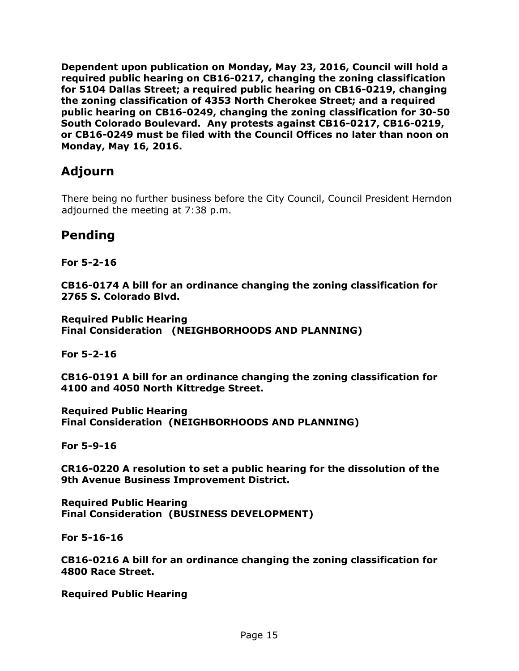**Dependent upon publication on Monday, May 23, 2016, Council will hold a required public hearing on CB16-0217, changing the zoning classification for 5104 Dallas Street; a required public hearing on CB16-0219, changing the zoning classification of 4353 North Cherokee Street; and a required public hearing on CB16-0249, changing the zoning classification for 30-50 South Colorado Boulevard. Any protests against CB16-0217, CB16-0219, or CB16-0249 must be filed with the Council Offices no later than noon on Monday, May 16, 2016.** 

# **Adjourn**

There being no further business before the City Council, Council President Herndon adjourned the meeting at 7:38 p.m.

## **Pending**

**For 5-2-16**

**CB16-0174 A bill for an ordinance changing the zoning classification for 2765 S. Colorado Blvd.** 

**Required Public Hearing Final Consideration (NEIGHBORHOODS AND PLANNING)**

**For 5-2-16**

**CB16-0191 A bill for an ordinance changing the zoning classification for 4100 and 4050 North Kittredge Street.** 

**Required Public Hearing Final Consideration (NEIGHBORHOODS AND PLANNING)**

**For 5-9-16**

**CR16-0220 A resolution to set a public hearing for the dissolution of the 9th Avenue Business Improvement District.** 

**Required Public Hearing Final Consideration (BUSINESS DEVELOPMENT)**

**For 5-16-16**

**CB16-0216 A bill for an ordinance changing the zoning classification for 4800 Race Street.** 

**Required Public Hearing**